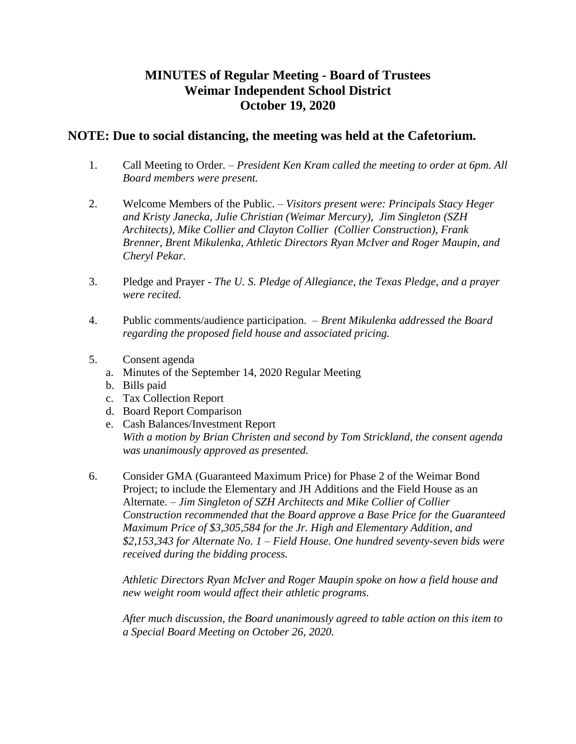## **MINUTES of Regular Meeting - Board of Trustees Weimar Independent School District October 19, 2020**

## **NOTE: Due to social distancing, the meeting was held at the Cafetorium.**

- 1. Call Meeting to Order. *President Ken Kram called the meeting to order at 6pm. All Board members were present.*
- 2. Welcome Members of the Public. *Visitors present were: Principals Stacy Heger and Kristy Janecka, Julie Christian (Weimar Mercury), Jim Singleton (SZH Architects), Mike Collier and Clayton Collier (Collier Construction), Frank Brenner, Brent Mikulenka, Athletic Directors Ryan McIver and Roger Maupin, and Cheryl Pekar.*
- 3. Pledge and Prayer *The U. S. Pledge of Allegiance, the Texas Pledge, and a prayer were recited.*
- 4. Public comments/audience participation. *Brent Mikulenka addressed the Board regarding the proposed field house and associated pricing.*
- 5. Consent agenda
	- a. Minutes of the September 14, 2020 Regular Meeting
	- b. Bills paid
	- c. Tax Collection Report
	- d. Board Report Comparison
	- e. Cash Balances/Investment Report *With a motion by Brian Christen and second by Tom Strickland, the consent agenda was unanimously approved as presented.*
- 6. Consider GMA (Guaranteed Maximum Price) for Phase 2 of the Weimar Bond Project; to include the Elementary and JH Additions and the Field House as an Alternate. *– Jim Singleton of SZH Architects and Mike Collier of Collier Construction recommended that the Board approve a Base Price for the Guaranteed Maximum Price of \$3,305,584 for the Jr. High and Elementary Addition, and \$2,153,343 for Alternate No. 1 – Field House. One hundred seventy-seven bids were received during the bidding process.*

*Athletic Directors Ryan McIver and Roger Maupin spoke on how a field house and new weight room would affect their athletic programs.*

*After much discussion, the Board unanimously agreed to table action on this item to a Special Board Meeting on October 26, 2020.*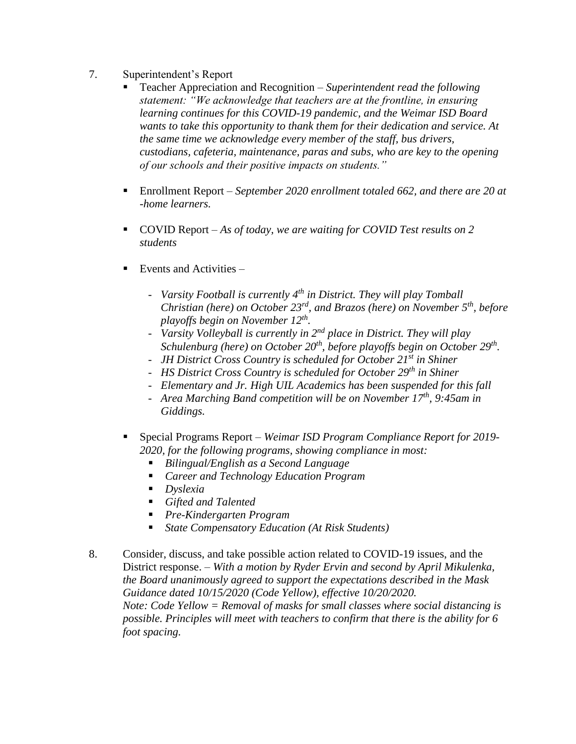- 7. Superintendent's Report
	- Teacher Appreciation and Recognition *Superintendent read the following statement: "We acknowledge that teachers are at the frontline, in ensuring learning continues for this COVID-19 pandemic, and the Weimar ISD Board wants to take this opportunity to thank them for their dedication and service. At the same time we acknowledge every member of the staff, bus drivers, custodians, cafeteria, maintenance, paras and subs, who are key to the opening of our schools and their positive impacts on students."*
	- Enrollment Report *September 2020 enrollment totaled 662, and there are 20 at -home learners.*
	- COVID Report *As of today, we are waiting for COVID Test results on 2 students*
	- Events and Activities *–*
		- *Varsity Football is currently 4th in District. They will play Tomball Christian (here) on October 23rd, and Brazos (here) on November 5th, before playoffs begin on November 12th .*
		- *Varsity Volleyball is currently in 2nd place in District. They will play Schulenburg (here) on October 20th, before playoffs begin on October 29th .*
		- *JH District Cross Country is scheduled for October 21st in Shiner*
		- *HS District Cross Country is scheduled for October 29th in Shiner*
		- *Elementary and Jr. High UIL Academics has been suspended for this fall*
		- *Area Marching Band competition will be on November 17th, 9:45am in Giddings.*
	- Special Programs Report *Weimar ISD Program Compliance Report for 2019- 2020, for the following programs, showing compliance in most:*
		- *Bilingual/English as a Second Language*
		- *Career and Technology Education Program*
		- *Dyslexia*
		- *Gifted and Talented*
		- *Pre-Kindergarten Program*
		- *State Compensatory Education (At Risk Students)*
- 8. Consider, discuss, and take possible action related to COVID-19 issues, and the District response. – *With a motion by Ryder Ervin and second by April Mikulenka, the Board unanimously agreed to support the expectations described in the Mask Guidance dated 10/15/2020 (Code Yellow), effective 10/20/2020. Note: Code Yellow = Removal of masks for small classes where social distancing is possible. Principles will meet with teachers to confirm that there is the ability for 6 foot spacing.*